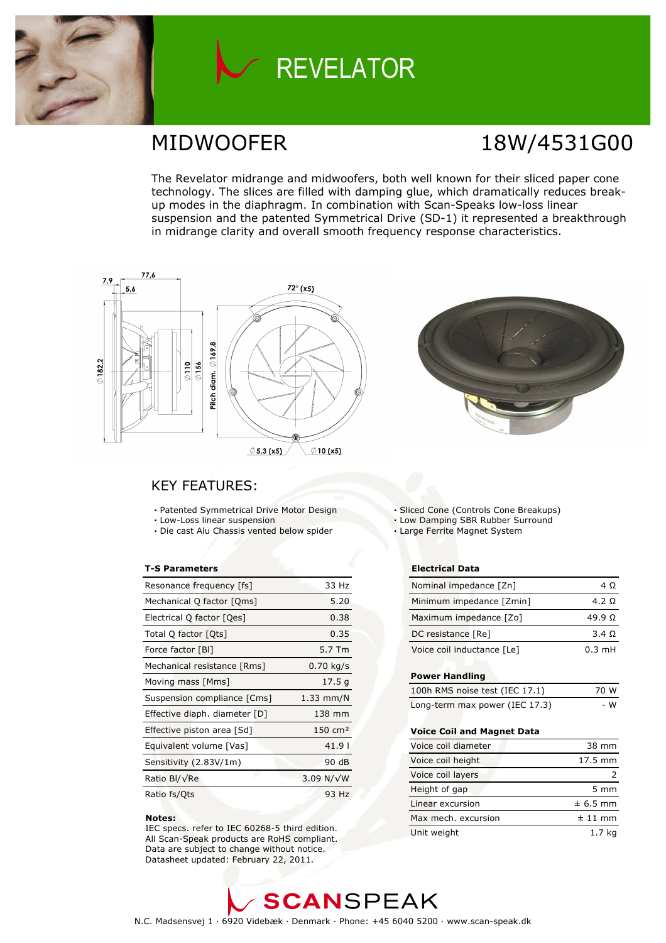

## **REVELATOR**

### MIDWOOFER 18W/4531G00

The Revelator midrange and midwoofers, both well known for their sliced paper cone technology. The slices are filled with damping glue, which dramatically reduces breakup modes in the diaphragm. In combination with Scan-Speaks low-loss linear suspension and the patented Symmetrical Drive (SD-1) it represented a breakthrough in midrange clarity and overall smooth frequency response characteristics.





### KEY FEATURES:

- Patented Symmetrical Drive Motor Design
- Low-Loss linear suspension
- Die cast Alu Chassis vented below spider

#### T-S Parameters

| Resonance frequency [fs]      | 33 Hz                |
|-------------------------------|----------------------|
| Mechanical Q factor [Qms]     | 5.20                 |
| Electrical Q factor [Qes]     | 0.38                 |
| Total Q factor [Ots]          | 0.35                 |
| Force factor [BI]             | 5.7 Tm               |
| Mechanical resistance [Rms]   | $0.70$ kg/s          |
| Moving mass [Mms]             | 17.5 g               |
| Suspension compliance [Cms]   | $1.33$ mm/N          |
| Effective diaph. diameter [D] | 138 mm               |
| Effective piston area [Sd]    | $150 \, \text{cm}^2$ |
| Equivalent volume [Vas]       | 41.9                 |
| Sensitivity (2.83V/1m)        | 90 dB                |
| Ratio Bl/√Re                  | 3.09 N/ $\sqrt{W}$   |
| Ratio fs/Qts                  | 93 Hz                |

#### Notes:

 IEC specs. refer to IEC 60268-5 third edition. All Scan-Speak products are RoHS compliant. Data are subject to change without notice. Datasheet updated: February 22, 2011.

Sliced Cone (Controls Cone Breakups)

- Low Damping SBR Rubber Surround
- Large Ferrite Magnet System

#### Electrical Data

| Nominal impedance [Zn]     | 4 O              |
|----------------------------|------------------|
| Minimum impedance [Zmin]   | 4.2 Q            |
| Maximum impedance [Zo]     | $49.9 \Omega$    |
| DC resistance [Re]         | 3.4 Q            |
| Voice coil inductance [Le] | $0.3 \text{ mH}$ |

#### Power Handling

| 100h RMS noise test (IEC 17.1) | 70 W |
|--------------------------------|------|
| Long-term max power (IEC 17.3) | - W  |

#### Voice Coil and Magnet Data

| Voice coil diameter | 38 mm            |
|---------------------|------------------|
| Voice coil height   | 17.5 mm          |
| Voice coil layers   |                  |
| Height of gap       | $5 \, \text{mm}$ |
| Linear excursion    | $± 6.5$ mm       |
| Max mech, excursion | $± 11$ mm        |
| Unit weight         | 1.7 ka           |